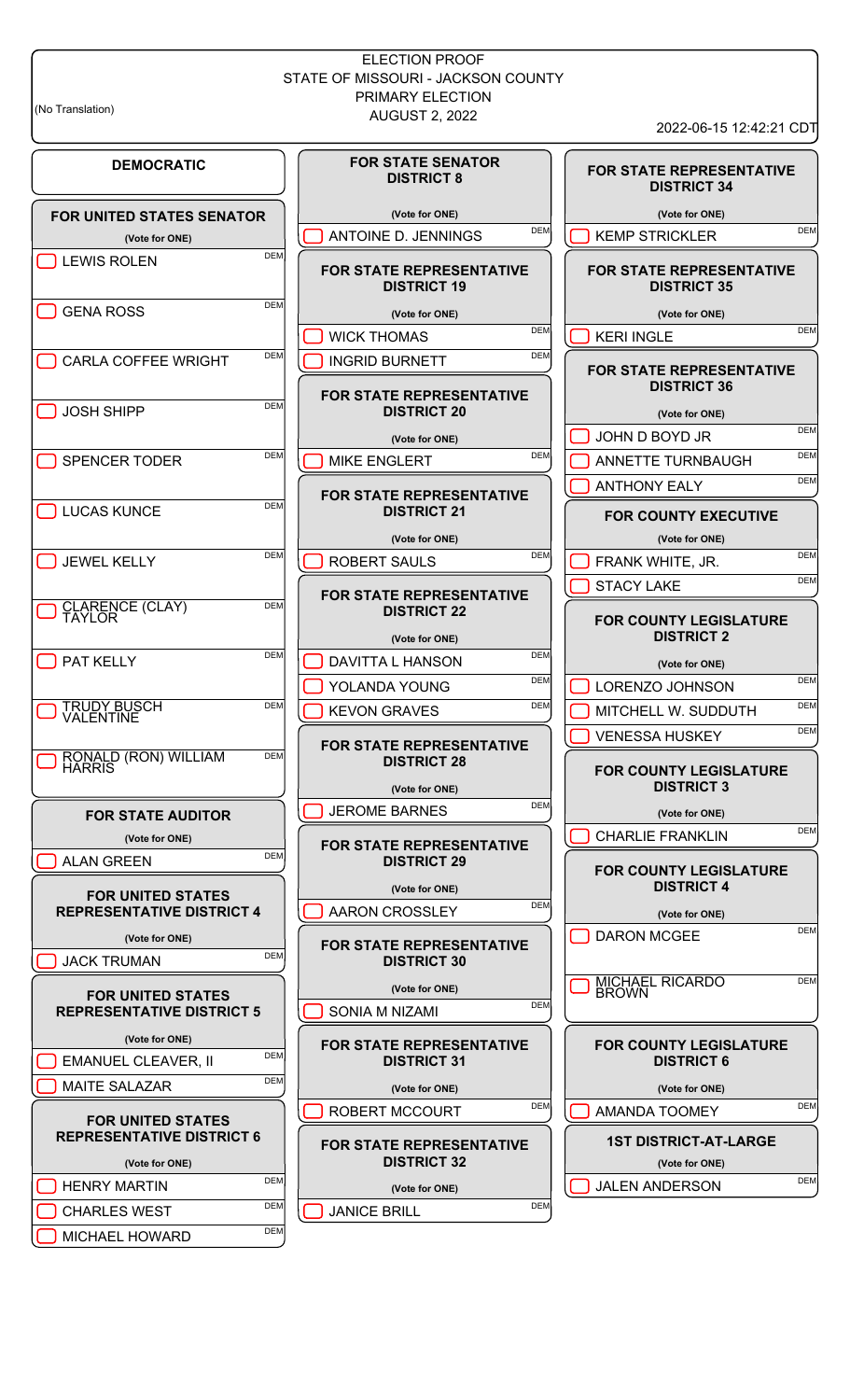# ELECTION PROOF STATE OF MISSOURI - JACKSON COUNTY PRIMARY ELECTION (No Translation) 2, 2022

**DEMOCRATIC**

**FOR UNITED STATES SENATOR (Vote for ONE)** DEM DEM DEM

GENA ROSS

CARLA COFFEE WRIGHT

**DEM** JOSH SHIPP

SPENCER TODER

DEM DEM DEM DEM

**DEM** JEWEL KELLY

DEM DEM DEM

RONALD (RON) WILLIAM

**FOR STATE AUDITOR (Vote for ONE)** DEM DEM DEM DEM

**FOR UNITED STATES REPRESENTATIVE DISTRICT 4**

**(Vote for ONE)** DEM JACK TRUMAN

**FOR UNITED STATES REPRESENTATIVE DISTRICT 5**

**(Vote for ONE)** BEMANUEL CLEAVER, II MAITE SALAZAR

**FOR UNITED STATES REPRESENTATIVE DISTRICT 6 (Vote for ONE) DEN HENRY MARTIN** CHARLES WEST DEM MICHAEL HOWARD

TAYLOR

VALENTINE TRUDY BUSCH

HARRIS

CLARENCE (CLAY)

**DEM** 

**DEM** 

**DEM** 

**FOR STATE SENATOR DISTRICT 8**

**(Vote for ONE) DEM** ANTOINE D. JENNINGS

**FOR STATE REPRESENTATIVE DISTRICT 19**

**(Vote for ONE)**

WICK THOMAS

INGRID BURNETT

**FOR STATE REPRESENTATIVE DISTRICT 20**

**(Vote for ONE)**

**DEM** MIKE ENGLERT

**FOR STATE REPRESENTATIVE DISTRICT 21**

**(Vote for ONE)**

ROBERT SAULS

**FOR STATE REPRESENTATIVE DISTRICT 22**

**(Vote for ONE)**

DAVITTA L HANSON YOLANDA YOUNG

KEVON GRAVES

**FOR STATE REPRESENTATIVE DISTRICT 28**

**(Vote for ONE) DEM** JEROME BARNES

**FOR STATE REPRESENTATIVE DISTRICT 29**

**(Vote for ONE)** BRON CROSSLEY

**FOR STATE REPRESENTATIVE DISTRICT 30**

**(Vote for ONE) DEM** SONIA M NIZAMI

**FOR STATE REPRESENTATIVE DISTRICT 31**

**(Vote for ONE)**

ROBERT MCCOURT

**FOR STATE REPRESENTATIVE DISTRICT 32**

**(Vote for ONE)**

JANICE BRILL DEM

**FOR STATE REPRESENTATIVE DISTRICT 34 (Vote for ONE)**  $\Box$  KEMP STRICKLER **FOR STATE REPRESENTATIVE DISTRICT 35 (Vote for ONE)** DEM DEM DEM DEM **FOR STATE REPRESENTATIVE DISTRICT 36 (Vote for ONE)** DEM JOHN D BOYD JR ANNETTE TURNBAUGH **DEM** ANTHONY EALY **FOR COUNTY EXECUTIVE (Vote for ONE) DEM** FRANK WHITE, JR. STACY LAKE **FOR COUNTY LEGISLATURE**

**DISTRICT 2 (Vote for ONE)**

DEM LORENZO JOHNSON MITCHELL W. SUDDUTH DEM **DEM** VENESSA HUSKEY

# **FOR COUNTY LEGISLATURE DISTRICT 3**

**(Vote for ONE)**

**DEM** CHARLIE FRANKLIN

#### **FOR COUNTY LEGISLATURE DISTRICT 4**

**(Vote for ONE)**

DEM DEM DEM DEM DEM

MICHAEL RICARDO J BROWN

> **FOR COUNTY LEGISLATURE DISTRICT 6**

DEM

**(Vote for ONE)** DEM AMANDA TOOMEY

**1ST DISTRICT-AT-LARGE**

**(Vote for ONE)**

DEM JALEN ANDERSON

|       | 1    |  |
|-------|------|--|
| JIC.F | RRII |  |

ר

2022-06-15 12:42:21 CDT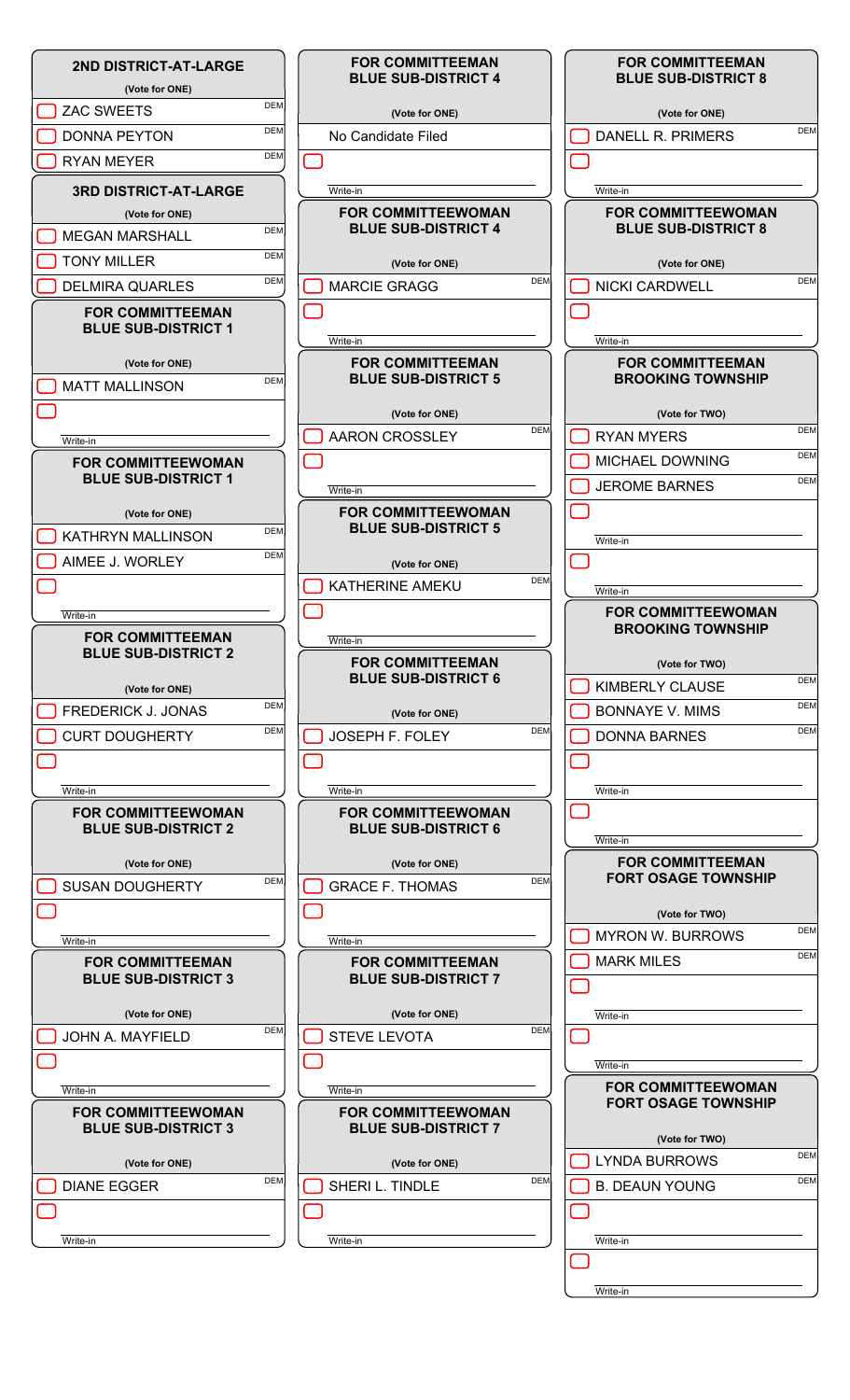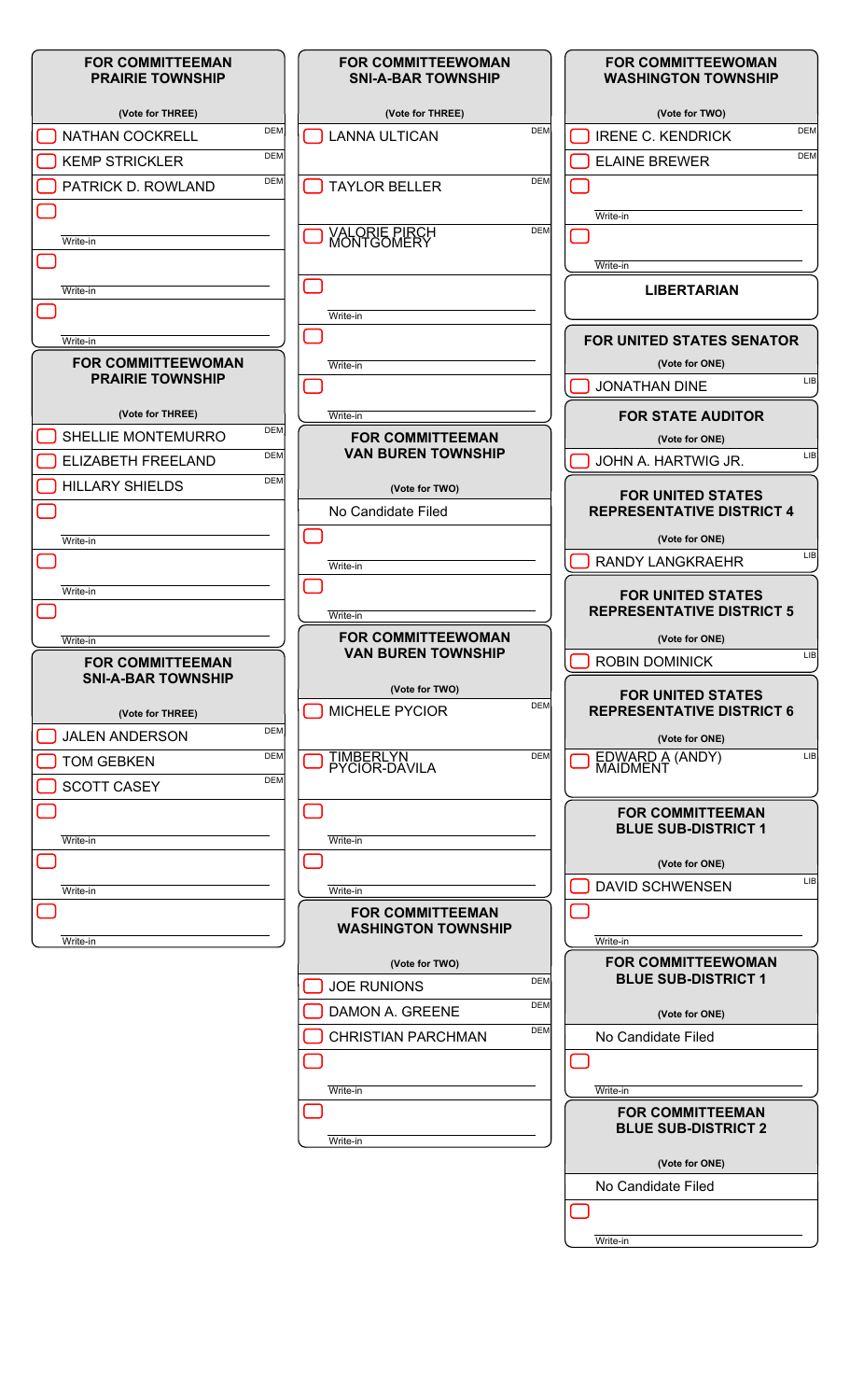| <b>FOR COMMITTEEMAN</b><br><b>PRAIRIE TOWNSHIP</b>   | <b>FOR COMMITTEEWOMAN</b><br><b>SNI-A-BAR TOWNSHIP</b> | <b>FOR COMMITTEEWOMAN</b><br><b>WASHINGTON TOWNSHIP</b>      |
|------------------------------------------------------|--------------------------------------------------------|--------------------------------------------------------------|
| (Vote for THREE)                                     | (Vote for THREE)                                       | (Vote for TWO)                                               |
| <b>DEM</b><br><b>NATHAN COCKRELL</b>                 | <b>DEM</b><br><b>LANNA ULTICAN</b>                     | <b>DEM</b><br><b>IRENE C. KENDRICK</b>                       |
| <b>DEM</b><br><b>KEMP STRICKLER</b>                  |                                                        | <b>DEM</b><br><b>ELAINE BREWER</b>                           |
| <b>DEM</b><br>PATRICK D. ROWLAND                     | <b>DEM</b><br><b>TAYLOR BELLER</b>                     |                                                              |
|                                                      |                                                        | Write-in                                                     |
| Write-in                                             | <b>VALORIE PIRCH<br/>MONTGOMERY</b><br><b>DEM</b>      |                                                              |
|                                                      |                                                        | Write-in                                                     |
|                                                      |                                                        | <b>LIBERTARIAN</b>                                           |
| Write-in                                             |                                                        |                                                              |
|                                                      | Write-in                                               |                                                              |
| Write-in<br><b>FOR COMMITTEEWOMAN</b>                |                                                        | <b>FOR UNITED STATES SENATOR</b><br>(Vote for ONE)           |
| <b>PRAIRIE TOWNSHIP</b>                              | Write-in                                               | LIB<br><b>JONATHAN DINE</b>                                  |
|                                                      |                                                        |                                                              |
| (Vote for THREE)<br><b>DEM</b><br>SHELLIE MONTEMURRO | Write-in                                               | <b>FOR STATE AUDITOR</b>                                     |
| <b>DEM</b>                                           | <b>FOR COMMITTEEMAN</b><br><b>VAN BUREN TOWNSHIP</b>   | (Vote for ONE)<br><b>LIB</b>                                 |
| ELIZABETH FREELAND<br><b>DEM</b>                     |                                                        | JOHN A. HARTWIG JR.                                          |
| <b>HILLARY SHIELDS</b>                               | (Vote for TWO)<br>No Candidate Filed                   | <b>FOR UNITED STATES</b><br><b>REPRESENTATIVE DISTRICT 4</b> |
| Write-in                                             |                                                        | (Vote for ONE)                                               |
|                                                      | Write-in                                               | <b>LIB</b><br><b>RANDY LANGKRAEHR</b>                        |
| Write-in                                             |                                                        |                                                              |
|                                                      | Write-in                                               | <b>FOR UNITED STATES</b><br><b>REPRESENTATIVE DISTRICT 5</b> |
| Write-in                                             | <b>FOR COMMITTEEWOMAN</b>                              | (Vote for ONE)                                               |
| <b>FOR COMMITTEEMAN</b>                              | <b>VAN BUREN TOWNSHIP</b>                              | <b>LIB</b><br><b>ROBIN DOMINICK</b>                          |
| <b>SNI-A-BAR TOWNSHIP</b>                            | (Vote for TWO)                                         | <b>FOR UNITED STATES</b>                                     |
| (Vote for THREE)                                     | <b>DEM</b><br><b>MICHELE PYCIOR</b>                    | <b>REPRESENTATIVE DISTRICT 6</b>                             |
| <b>DEM</b><br><b>JALEN ANDERSON</b>                  |                                                        | (Vote for ONE)                                               |
| <b>DEM</b><br><b>TOM GEBKEN</b>                      | <b>DEM</b><br>TIMBERLYN<br>PYCIOR-DAVILA               | EDWARD A (ANDY)<br>MAIDMENT<br><b>LIB</b>                    |
| <b>DEM</b><br><b>SCOTT CASEY</b>                     |                                                        |                                                              |
|                                                      |                                                        | <b>FOR COMMITTEEMAN</b>                                      |
| Write-in                                             | Write-in                                               | <b>BLUE SUB-DISTRICT 1</b>                                   |
|                                                      |                                                        | (Vote for ONE)                                               |
| Write-in                                             | Write-in                                               | <b>LIB</b><br><b>DAVID SCHWENSEN</b>                         |
|                                                      | <b>FOR COMMITTEEMAN</b>                                |                                                              |
| Write-in                                             | <b>WASHINGTON TOWNSHIP</b>                             | Write-in                                                     |
|                                                      | (Vote for TWO)                                         | <b>FOR COMMITTEEWOMAN</b>                                    |
|                                                      | <b>DEM</b><br><b>JOE RUNIONS</b>                       | <b>BLUE SUB-DISTRICT 1</b>                                   |
|                                                      | <b>DEM</b><br>DAMON A. GREENE                          | (Vote for ONE)                                               |
|                                                      | <b>DEM</b><br><b>CHRISTIAN PARCHMAN</b>                | No Candidate Filed                                           |
|                                                      |                                                        |                                                              |
|                                                      | Write-in                                               | Write-in                                                     |
|                                                      |                                                        | <b>FOR COMMITTEEMAN</b>                                      |
|                                                      | Write-in                                               | <b>BLUE SUB-DISTRICT 2</b>                                   |
|                                                      |                                                        | (Vote for ONE)                                               |
|                                                      |                                                        | No Candidate Filed                                           |
|                                                      |                                                        |                                                              |
|                                                      |                                                        | Write-in                                                     |

Write-in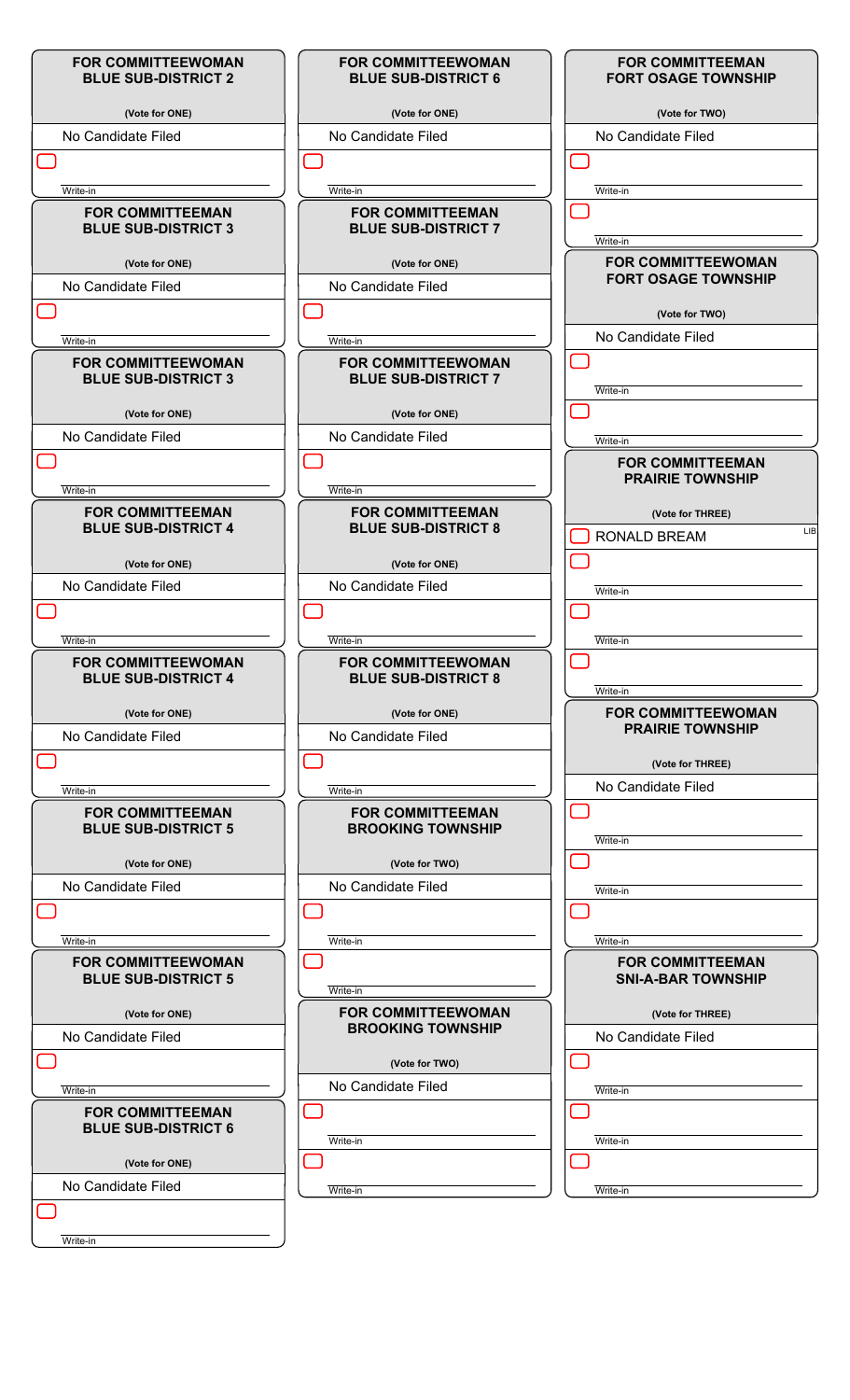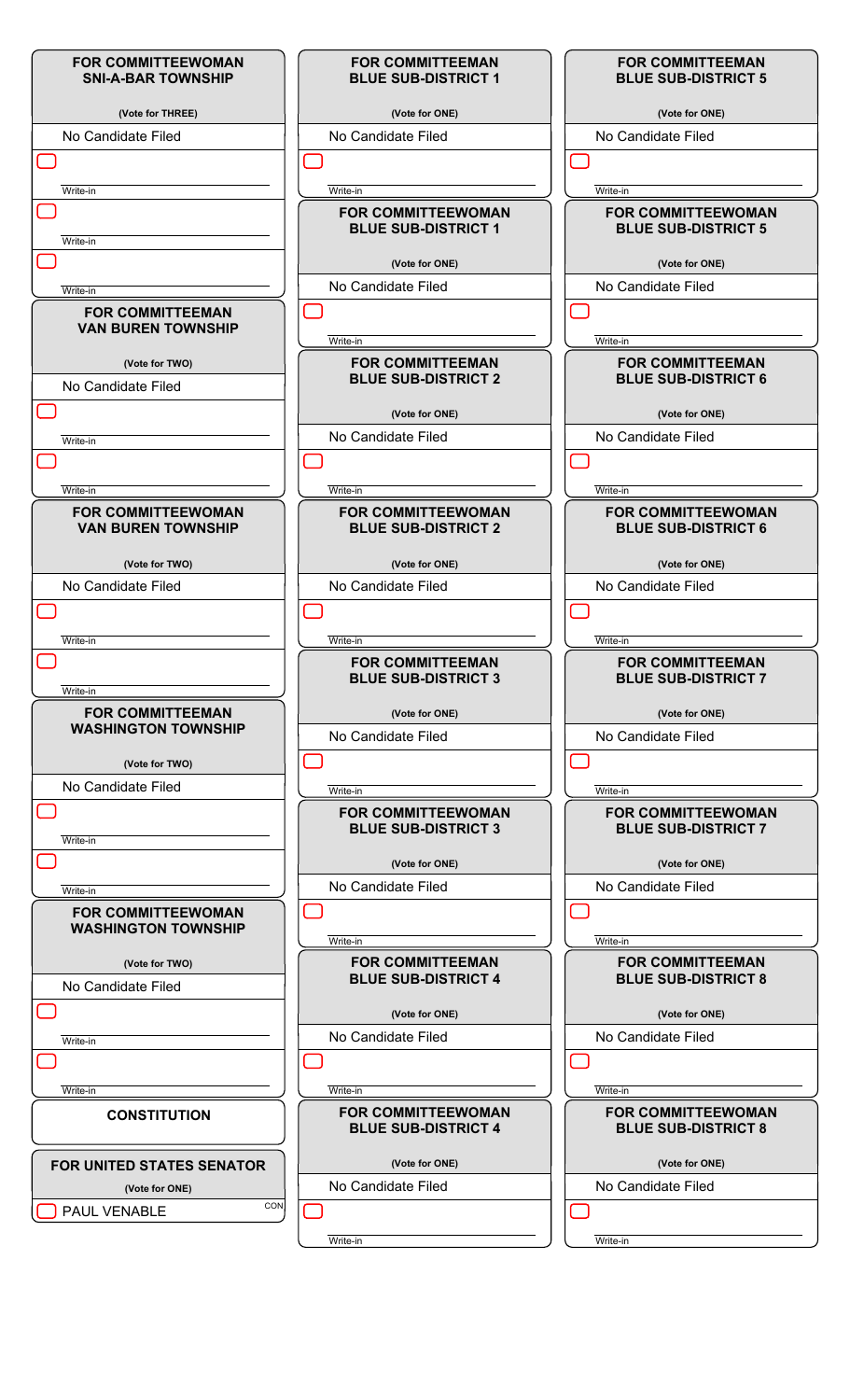| <b>FOR COMMITTEEWOMAN</b><br><b>SNI-A-BAR TOWNSHIP</b>  | <b>FOR COMMITTEEMAN</b><br><b>BLUE SUB-DISTRICT 1</b>   | <b>FOR COMMITTEEMAN</b><br><b>BLUE SUB-DISTRICT 5</b>   |
|---------------------------------------------------------|---------------------------------------------------------|---------------------------------------------------------|
| (Vote for THREE)                                        | (Vote for ONE)                                          | (Vote for ONE)                                          |
| No Candidate Filed                                      | No Candidate Filed                                      | No Candidate Filed                                      |
|                                                         |                                                         |                                                         |
| Write-in                                                | Write-in<br><b>FOR COMMITTEEWOMAN</b>                   | Write-in<br><b>FOR COMMITTEEWOMAN</b>                   |
| Write-in                                                | <b>BLUE SUB-DISTRICT 1</b>                              | <b>BLUE SUB-DISTRICT 5</b>                              |
|                                                         | (Vote for ONE)                                          | (Vote for ONE)                                          |
| Write-in                                                | No Candidate Filed                                      | No Candidate Filed                                      |
| <b>FOR COMMITTEEMAN</b><br><b>VAN BUREN TOWNSHIP</b>    | Write-in                                                | Write-in                                                |
| (Vote for TWO)                                          | <b>FOR COMMITTEEMAN</b>                                 | <b>FOR COMMITTEEMAN</b>                                 |
| No Candidate Filed                                      | <b>BLUE SUB-DISTRICT 2</b>                              | <b>BLUE SUB-DISTRICT 6</b>                              |
|                                                         | (Vote for ONE)                                          | (Vote for ONE)                                          |
| Write-in                                                | No Candidate Filed                                      | No Candidate Filed                                      |
|                                                         |                                                         |                                                         |
|                                                         |                                                         |                                                         |
| Write-in<br><b>FOR COMMITTEEWOMAN</b>                   | Write-in<br><b>FOR COMMITTEEWOMAN</b>                   | Write-in<br><b>FOR COMMITTEEWOMAN</b>                   |
| <b>VAN BUREN TOWNSHIP</b>                               | <b>BLUE SUB-DISTRICT 2</b>                              | <b>BLUE SUB-DISTRICT 6</b>                              |
| (Vote for TWO)                                          | (Vote for ONE)                                          | (Vote for ONE)                                          |
| No Candidate Filed                                      | No Candidate Filed                                      | No Candidate Filed                                      |
|                                                         |                                                         |                                                         |
| Write-in                                                | Write-in                                                | Write-in                                                |
| Write-in                                                | <b>FOR COMMITTEEMAN</b><br><b>BLUE SUB-DISTRICT 3</b>   | <b>FOR COMMITTEEMAN</b><br><b>BLUE SUB-DISTRICT 7</b>   |
| <b>FOR COMMITTEEMAN</b>                                 | (Vote for ONE)                                          | (Vote for ONE)                                          |
| <b>WASHINGTON TOWNSHIP</b>                              | No Candidate Filed                                      | No Candidate Filed                                      |
| (Vote for TWO)                                          |                                                         |                                                         |
| No Candidate Filed                                      | Write-in                                                | Write-in                                                |
|                                                         | <b>FOR COMMITTEEWOMAN</b><br><b>BLUE SUB-DISTRICT 3</b> | <b>FOR COMMITTEEWOMAN</b><br><b>BLUE SUB-DISTRICT 7</b> |
| Write-in                                                |                                                         |                                                         |
|                                                         | (Vote for ONE)<br>No Candidate Filed                    | (Vote for ONE)<br>No Candidate Filed                    |
| Write-in                                                |                                                         |                                                         |
| <b>FOR COMMITTEEWOMAN</b><br><b>WASHINGTON TOWNSHIP</b> | Write-in                                                | Write-in                                                |
| (Vote for TWO)                                          | <b>FOR COMMITTEEMAN</b>                                 | <b>FOR COMMITTEEMAN</b>                                 |
| No Candidate Filed                                      | <b>BLUE SUB-DISTRICT 4</b>                              | <b>BLUE SUB-DISTRICT 8</b>                              |
|                                                         | (Vote for ONE)                                          | (Vote for ONE)                                          |
| Write-in                                                | No Candidate Filed                                      | No Candidate Filed                                      |
|                                                         |                                                         |                                                         |
| Write-in                                                | Write-in                                                | Write-in                                                |
| <b>CONSTITUTION</b>                                     | <b>FOR COMMITTEEWOMAN</b><br><b>BLUE SUB-DISTRICT 4</b> | <b>FOR COMMITTEEWOMAN</b><br><b>BLUE SUB-DISTRICT 8</b> |
| <b>FOR UNITED STATES SENATOR</b>                        | (Vote for ONE)                                          | (Vote for ONE)                                          |
| (Vote for ONE)                                          | No Candidate Filed                                      | No Candidate Filed                                      |
| CON<br>PAUL VENABLE                                     |                                                         |                                                         |
|                                                         |                                                         |                                                         |
|                                                         | Write-in                                                | Write-in                                                |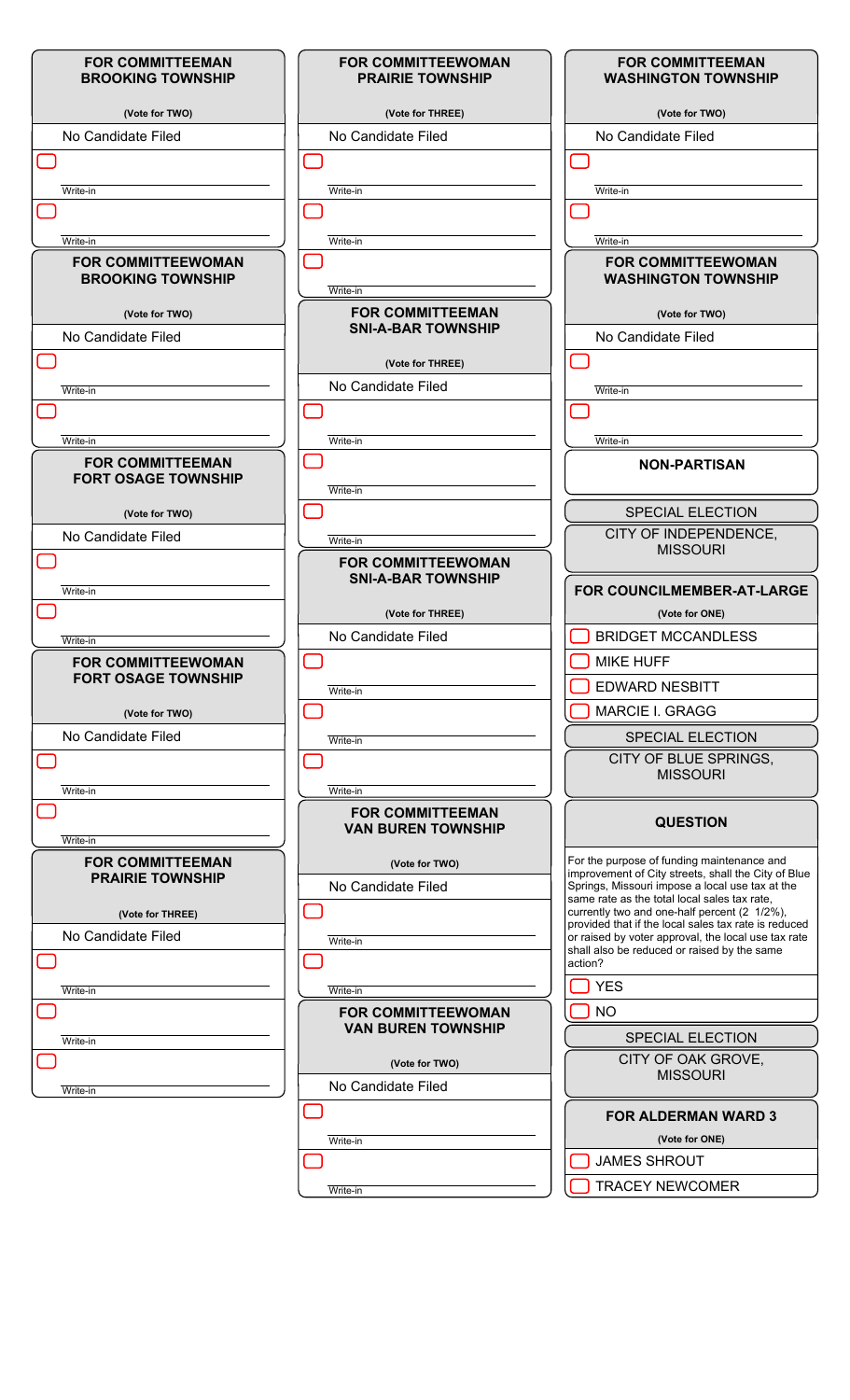| <b>FOR COMMITTEEMAN</b><br><b>BROOKING TOWNSHIP</b>     | <b>FOR COMMITTEEWOMAN</b><br><b>PRAIRIE TOWNSHIP</b>   | <b>FOR COMMITTEEMAN</b><br><b>WASHINGTON TOWNSHIP</b>                                                       |
|---------------------------------------------------------|--------------------------------------------------------|-------------------------------------------------------------------------------------------------------------|
| (Vote for TWO)                                          | (Vote for THREE)                                       | (Vote for TWO)                                                                                              |
| No Candidate Filed                                      | No Candidate Filed                                     | No Candidate Filed                                                                                          |
|                                                         |                                                        |                                                                                                             |
| Write-in                                                | Write-in                                               | Write-in                                                                                                    |
|                                                         |                                                        |                                                                                                             |
| Write-in                                                | Write-in                                               | Write-in                                                                                                    |
| <b>FOR COMMITTEEWOMAN</b><br><b>BROOKING TOWNSHIP</b>   | Write-in                                               | <b>FOR COMMITTEEWOMAN</b><br><b>WASHINGTON TOWNSHIP</b>                                                     |
| (Vote for TWO)                                          | <b>FOR COMMITTEEMAN</b>                                | (Vote for TWO)                                                                                              |
| No Candidate Filed                                      | <b>SNI-A-BAR TOWNSHIP</b>                              | No Candidate Filed                                                                                          |
|                                                         | (Vote for THREE)                                       |                                                                                                             |
|                                                         | No Candidate Filed                                     |                                                                                                             |
| Write-in                                                |                                                        | Write-in                                                                                                    |
|                                                         |                                                        |                                                                                                             |
| Write-in                                                | Write-in                                               | Write-in                                                                                                    |
| <b>FOR COMMITTEEMAN</b><br><b>FORT OSAGE TOWNSHIP</b>   | Write-in                                               | <b>NON-PARTISAN</b>                                                                                         |
| (Vote for TWO)                                          |                                                        | <b>SPECIAL ELECTION</b>                                                                                     |
| No Candidate Filed                                      | Write-in                                               | CITY OF INDEPENDENCE,                                                                                       |
|                                                         | <b>FOR COMMITTEEWOMAN</b>                              | <b>MISSOURI</b>                                                                                             |
|                                                         | <b>SNI-A-BAR TOWNSHIP</b>                              |                                                                                                             |
| Write-in                                                |                                                        | FOR COUNCILMEMBER-AT-LARGE                                                                                  |
|                                                         | (Vote for THREE)                                       | (Vote for ONE)                                                                                              |
| Write-in                                                | No Candidate Filed                                     | <b>BRIDGET MCCANDLESS</b>                                                                                   |
| <b>FOR COMMITTEEWOMAN</b><br><b>FORT OSAGE TOWNSHIP</b> |                                                        | <b>MIKE HUFF</b>                                                                                            |
|                                                         | Write-in                                               | <b>EDWARD NESBITT</b>                                                                                       |
| (Vote for TWO)                                          |                                                        | MARCIE I. GRAGG                                                                                             |
| No Candidate Filed                                      | Write-in                                               | <b>SPECIAL ELECTION</b>                                                                                     |
|                                                         |                                                        | CITY OF BLUE SPRINGS,<br><b>MISSOURI</b>                                                                    |
| Write-in                                                | Write-in                                               |                                                                                                             |
| Write-in                                                | <b>FOR COMMITTEEMAN</b><br><b>VAN BUREN TOWNSHIP</b>   | <b>QUESTION</b>                                                                                             |
| <b>FOR COMMITTEEMAN</b>                                 | (Vote for TWO)                                         | For the purpose of funding maintenance and                                                                  |
| <b>PRAIRIE TOWNSHIP</b>                                 | No Candidate Filed                                     | improvement of City streets, shall the City of Blue<br>Springs, Missouri impose a local use tax at the      |
| (Vote for THREE)                                        |                                                        | same rate as the total local sales tax rate.<br>currently two and one-half percent (2 1/2%),                |
| No Candidate Filed                                      |                                                        | provided that if the local sales tax rate is reduced<br>or raised by voter approval, the local use tax rate |
|                                                         | Write-in                                               | shall also be reduced or raised by the same                                                                 |
|                                                         |                                                        | action?                                                                                                     |
| Write-in                                                | Write-in                                               | <b>YES</b>                                                                                                  |
|                                                         | <b>FOR COMMITTEEWOMAN</b><br><b>VAN BUREN TOWNSHIP</b> | <b>NO</b>                                                                                                   |
| Write-in                                                |                                                        | <b>SPECIAL ELECTION</b>                                                                                     |
|                                                         | (Vote for TWO)<br>No Candidate Filed                   | CITY OF OAK GROVE,<br><b>MISSOURI</b>                                                                       |
| Write-in                                                |                                                        |                                                                                                             |
|                                                         |                                                        | <b>FOR ALDERMAN WARD 3</b>                                                                                  |
|                                                         | Write-in                                               | (Vote for ONE)                                                                                              |
|                                                         |                                                        | <b>JAMES SHROUT</b>                                                                                         |
|                                                         | Write-in                                               | <b>TRACEY NEWCOMER</b>                                                                                      |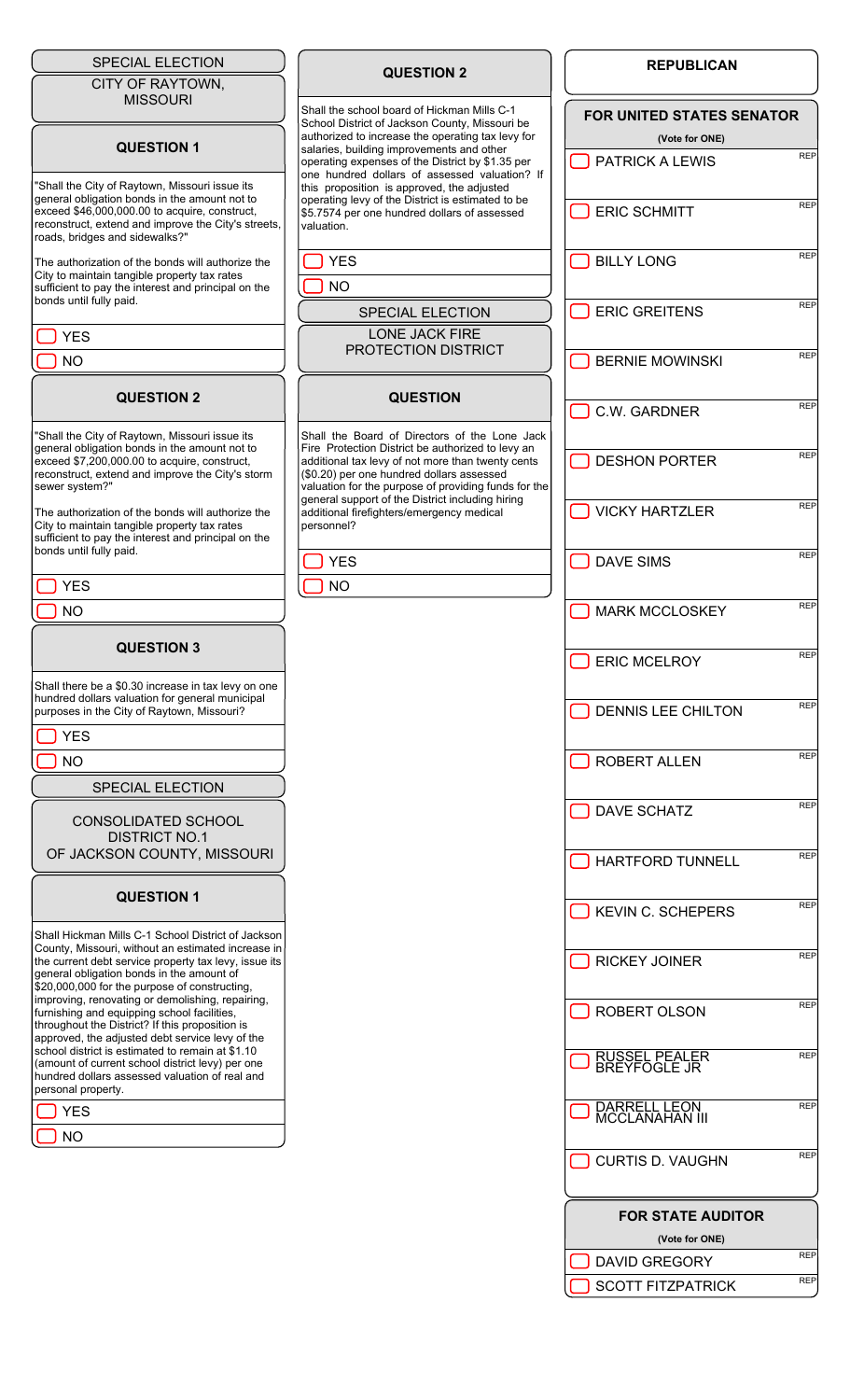# SPECIAL ELECTION

CITY OF RAYTOWN, MISSOURI

#### **QUESTION 1**

"Shall the City of Raytown, Missouri issue its general obligation bonds in the amount not to exceed \$46,000,000.00 to acquire, construct, reconstruct, extend and improve the City's streets roads, bridges and sidewalks?"

The authorization of the bonds will authorize the City to maintain tangible property tax rates sufficient to pay the interest and principal on the bonds until fully paid.

∩א ך

### **QUESTION 2**

"Shall the City of Raytown, Missouri issue its general obligation bonds in the amount not to exceed \$7,200,000.00 to acquire, construct, reconstruct, extend and improve the City's storm sewer system?

The authorization of the bonds will authorize the City to maintain tangible property tax rates sufficient to pay the interest and principal on the bonds until fully paid.

YES

NO ך

# **QUESTION 3**

Shall there be a \$0.30 increase in tax levy on one hundred dollars valuation for general municipal purposes in the City of Raytown, Missouri?

YES

NO ר

SPECIAL ELECTION

CONSOLIDATED SCHOOL DISTRICT NO.1 OF JACKSON COUNTY, MISSOURI

#### **QUESTION 1**

Shall Hickman Mills C-1 School District of Jackson County, Missouri, without an estimated increase in the current debt service property tax levy, issue its general obligation bonds in the amount of \$20,000,000 for the purpose of constructing, improving, renovating or demolishing, repairing, furnishing and equipping school facilities, throughout the District? If this proposition is approved, the adjusted debt service levy of the school district is estimated to remain at \$1.10 (amount of current school district levy) per one hundred dollars assessed valuation of real and personal property.

YES

NO

| <b>QUESTION 2</b> |  |
|-------------------|--|
|-------------------|--|

Shall the school board of Hickman Mills C-1 School District of Jackson County, Missouri be authorized to increase the operating tax levy for salaries, building improvements and other operating expenses of the District by \$1.35 per one hundred dollars of assessed valuation? If this proposition is approved, the adjusted operating levy of the District is estimated to be \$5.7574 per one hundred dollars of assessed valuation.

٦ YES

 $N<sub>O</sub>$ 

SPECIAL ELECTION LONE JACK FIRE

PROTECTION DISTRICT

## **QUESTION**

Shall the Board of Directors of the Lone Jack Fire Protection District be authorized to levy an additional tax levy of not more than twenty cents (\$0.20) per one hundred dollars assessed valuation for the purpose of providing funds for the general support of the District including hiring additional firefighters/emergency medical personnel?

YES

NO

| <b>FOR UNITED STATES SENATOR</b><br>(Vote for ONE) |            |
|----------------------------------------------------|------------|
| [ ] PATRICK A LEWIS                                | <b>REP</b> |
| SCHMITT                                            | <b>REP</b> |
| $\Box$ BILLY LONG                                  | <b>REP</b> |
| $\Box$ ERIC GREITENS                               | <b>REP</b> |
| <b>J BERNIE MOWINSKI</b>                           | <b>REP</b> |
| C.W. GARDNER                                       | <b>REP</b> |
| U DESHON PORTER                                    | <b>REP</b> |
| VICKY HARTZLER                                     | <b>REP</b> |
| ◯ DAVE SIMS                                        | <b>REP</b> |
| <b>J MARK MCCLOSKEY</b>                            | <b>REP</b> |
| ERIC MCELROY                                       | <b>REP</b> |
| DENNIS LEE CHILTON                                 | <b>REP</b> |
| ROBERT ALLEN                                       | <b>REP</b> |
| DAVE SCHATZ                                        | <b>REP</b> |
| HARTFORD TUNNELL                                   | <b>REP</b> |
| KEVIN C. SCHEPERS                                  | <b>REP</b> |
| <b>I RICKEY JOINER</b>                             | <b>REP</b> |
| <b>I ROBERT OLSON</b>                              | <b>REP</b> |
| RUSSEL PEALER<br>BREYFOGLE JR                      | <b>REP</b> |
| DARRELL LEON<br><b>MCCLANAHAN III</b>              | <b>REP</b> |
| CURTIS D. VAUGHN                                   | <b>REP</b> |
| <b>FOR STATE AUDITOR</b>                           |            |
| (Vote for ONE)                                     | <b>REP</b> |
| <b>DAVID GREGORY</b>                               | <b>REP</b> |
| <b>SCOTT FITZPATRICK</b>                           |            |

**REPUBLICAN**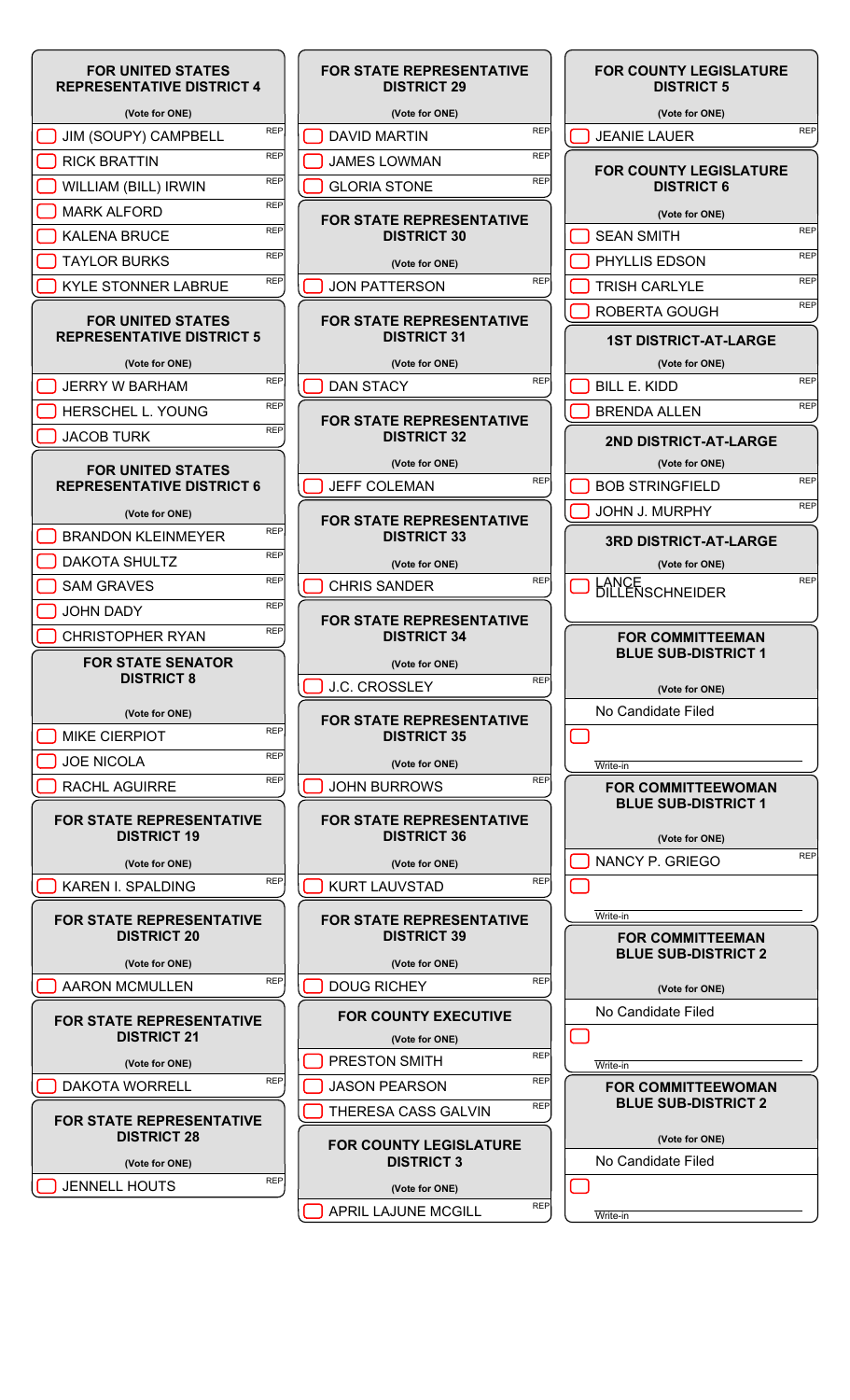

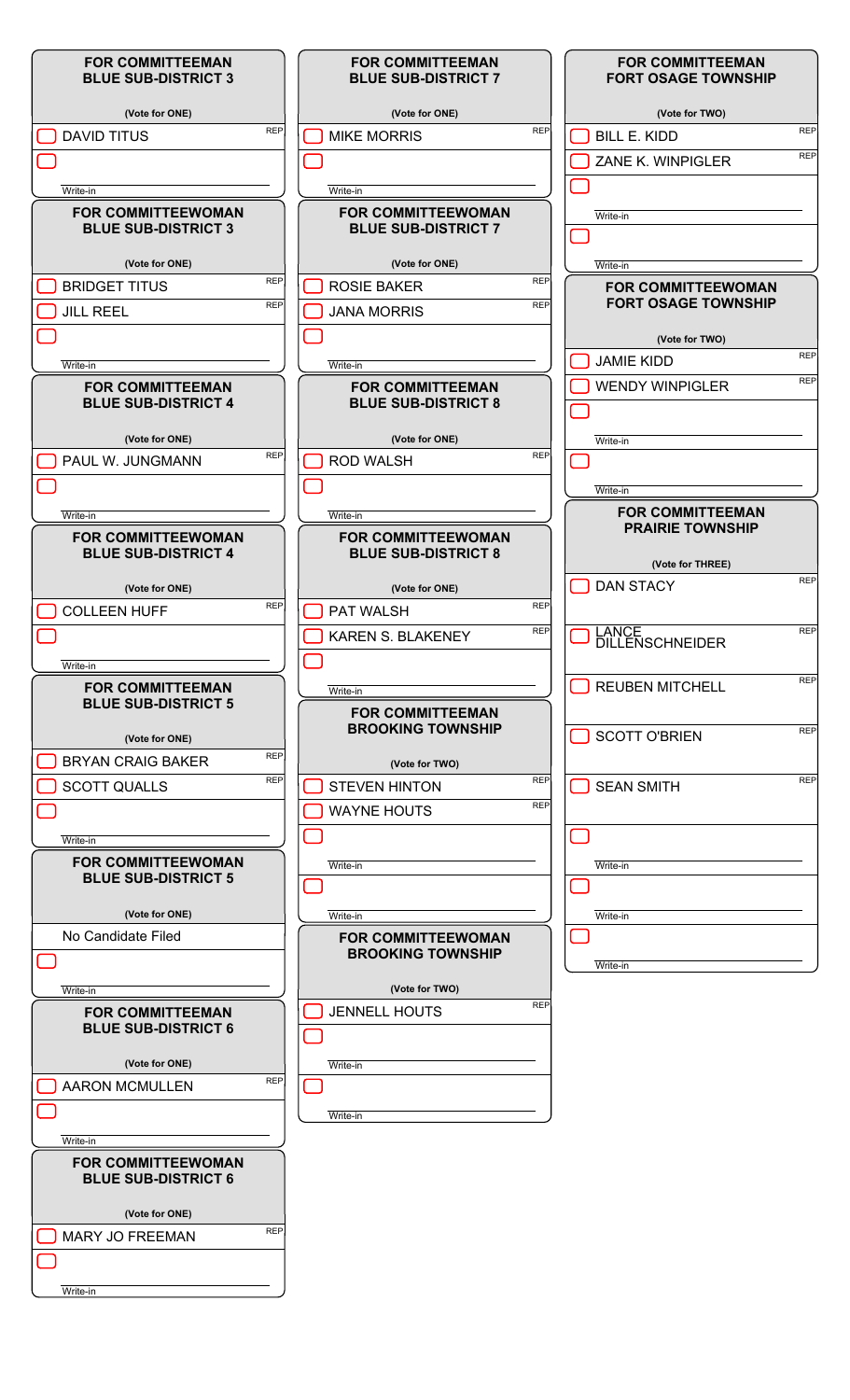